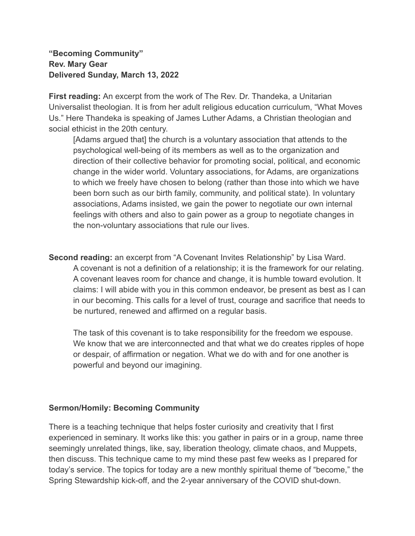## **"Becoming Community" Rev. Mary Gear Delivered Sunday, March 13, 2022**

**First reading:** An excerpt from the work of The Rev. Dr. Thandeka, a Unitarian Universalist theologian. It is from her adult religious education curriculum, "What Moves Us." Here Thandeka is speaking of James Luther Adams, a Christian theologian and social ethicist in the 20th century.

[Adams argued that] the church is a voluntary association that attends to the psychological well-being of its members as well as to the organization and direction of their collective behavior for promoting social, political, and economic change in the wider world. Voluntary associations, for Adams, are organizations to which we freely have chosen to belong (rather than those into which we have been born such as our birth family, community, and political state). In voluntary associations, Adams insisted, we gain the power to negotiate our own internal feelings with others and also to gain power as a group to negotiate changes in the non-voluntary associations that rule our lives.

**Second reading:** an excerpt from "A Covenant Invites Relationship" by Lisa Ward. A covenant is not a definition of a relationship; it is the framework for our relating. A covenant leaves room for chance and change, it is humble toward evolution. It claims: I will abide with you in this common endeavor, be present as best as I can in our becoming. This calls for a level of trust, courage and sacrifice that needs to be nurtured, renewed and affirmed on a regular basis.

The task of this covenant is to take responsibility for the freedom we espouse. We know that we are interconnected and that what we do creates ripples of hope or despair, of affirmation or negation. What we do with and for one another is powerful and beyond our imagining.

## **Sermon/Homily: Becoming Community**

There is a teaching technique that helps foster curiosity and creativity that I first experienced in seminary. It works like this: you gather in pairs or in a group, name three seemingly unrelated things, like, say, liberation theology, climate chaos, and Muppets, then discuss. This technique came to my mind these past few weeks as I prepared for today's service. The topics for today are a new monthly spiritual theme of "become," the Spring Stewardship kick-off, and the 2-year anniversary of the COVID shut-down.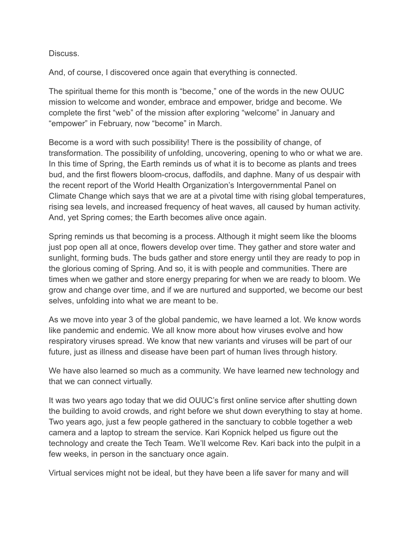Discuss.

And, of course, I discovered once again that everything is connected.

The spiritual theme for this month is "become," one of the words in the new OUUC mission to welcome and wonder, embrace and empower, bridge and become. We complete the first "web" of the mission after exploring "welcome" in January and "empower" in February, now "become" in March.

Become is a word with such possibility! There is the possibility of change, of transformation. The possibility of unfolding, uncovering, opening to who or what we are. In this time of Spring, the Earth reminds us of what it is to become as plants and trees bud, and the first flowers bloom-crocus, daffodils, and daphne. Many of us despair with the recent report of the World Health Organization's Intergovernmental Panel on Climate Change which says that we are at a pivotal time with rising global temperatures, rising sea levels, and increased frequency of heat waves, all caused by human activity. And, yet Spring comes; the Earth becomes alive once again.

Spring reminds us that becoming is a process. Although it might seem like the blooms just pop open all at once, flowers develop over time. They gather and store water and sunlight, forming buds. The buds gather and store energy until they are ready to pop in the glorious coming of Spring. And so, it is with people and communities. There are times when we gather and store energy preparing for when we are ready to bloom. We grow and change over time, and if we are nurtured and supported, we become our best selves, unfolding into what we are meant to be.

As we move into year 3 of the global pandemic, we have learned a lot. We know words like pandemic and endemic. We all know more about how viruses evolve and how respiratory viruses spread. We know that new variants and viruses will be part of our future, just as illness and disease have been part of human lives through history.

We have also learned so much as a community. We have learned new technology and that we can connect virtually.

It was two years ago today that we did OUUC's first online service after shutting down the building to avoid crowds, and right before we shut down everything to stay at home. Two years ago, just a few people gathered in the sanctuary to cobble together a web camera and a laptop to stream the service. Kari Kopnick helped us figure out the technology and create the Tech Team. We'll welcome Rev. Kari back into the pulpit in a few weeks, in person in the sanctuary once again.

Virtual services might not be ideal, but they have been a life saver for many and will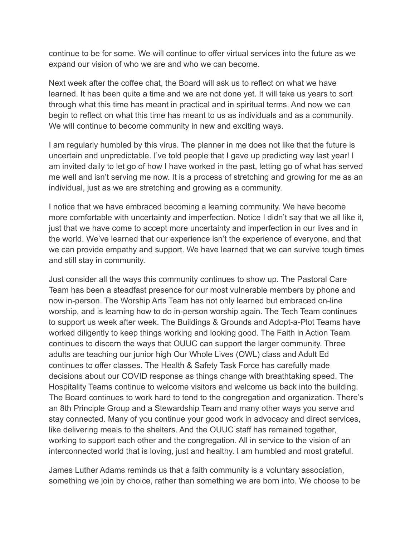continue to be for some. We will continue to offer virtual services into the future as we expand our vision of who we are and who we can become.

Next week after the coffee chat, the Board will ask us to reflect on what we have learned. It has been quite a time and we are not done yet. It will take us years to sort through what this time has meant in practical and in spiritual terms. And now we can begin to reflect on what this time has meant to us as individuals and as a community. We will continue to become community in new and exciting ways.

I am regularly humbled by this virus. The planner in me does not like that the future is uncertain and unpredictable. I've told people that I gave up predicting way last year! I am invited daily to let go of how I have worked in the past, letting go of what has served me well and isn't serving me now. It is a process of stretching and growing for me as an individual, just as we are stretching and growing as a community.

I notice that we have embraced becoming a learning community. We have become more comfortable with uncertainty and imperfection. Notice I didn't say that we all like it, just that we have come to accept more uncertainty and imperfection in our lives and in the world. We've learned that our experience isn't the experience of everyone, and that we can provide empathy and support. We have learned that we can survive tough times and still stay in community.

Just consider all the ways this community continues to show up. The Pastoral Care Team has been a steadfast presence for our most vulnerable members by phone and now in-person. The Worship Arts Team has not only learned but embraced on-line worship, and is learning how to do in-person worship again. The Tech Team continues to support us week after week. The Buildings & Grounds and Adopt-a-Plot Teams have worked diligently to keep things working and looking good. The Faith in Action Team continues to discern the ways that OUUC can support the larger community. Three adults are teaching our junior high Our Whole Lives (OWL) class and Adult Ed continues to offer classes. The Health & Safety Task Force has carefully made decisions about our COVID response as things change with breathtaking speed. The Hospitality Teams continue to welcome visitors and welcome us back into the building. The Board continues to work hard to tend to the congregation and organization. There's an 8th Principle Group and a Stewardship Team and many other ways you serve and stay connected. Many of you continue your good work in advocacy and direct services, like delivering meals to the shelters. And the OUUC staff has remained together, working to support each other and the congregation. All in service to the vision of an interconnected world that is loving, just and healthy. I am humbled and most grateful.

James Luther Adams reminds us that a faith community is a voluntary association, something we join by choice, rather than something we are born into. We choose to be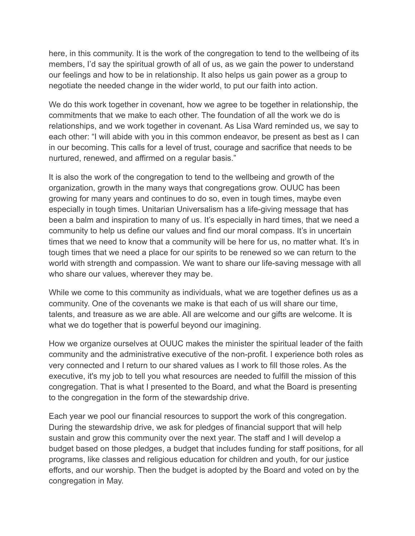here, in this community. It is the work of the congregation to tend to the wellbeing of its members, I'd say the spiritual growth of all of us, as we gain the power to understand our feelings and how to be in relationship. It also helps us gain power as a group to negotiate the needed change in the wider world, to put our faith into action.

We do this work together in covenant, how we agree to be together in relationship, the commitments that we make to each other. The foundation of all the work we do is relationships, and we work together in covenant. As Lisa Ward reminded us, we say to each other: "I will abide with you in this common endeavor, be present as best as I can in our becoming. This calls for a level of trust, courage and sacrifice that needs to be nurtured, renewed, and affirmed on a regular basis."

It is also the work of the congregation to tend to the wellbeing and growth of the organization, growth in the many ways that congregations grow. OUUC has been growing for many years and continues to do so, even in tough times, maybe even especially in tough times. Unitarian Universalism has a life-giving message that has been a balm and inspiration to many of us. It's especially in hard times, that we need a community to help us define our values and find our moral compass. It's in uncertain times that we need to know that a community will be here for us, no matter what. It's in tough times that we need a place for our spirits to be renewed so we can return to the world with strength and compassion. We want to share our life-saving message with all who share our values, wherever they may be.

While we come to this community as individuals, what we are together defines us as a community. One of the covenants we make is that each of us will share our time, talents, and treasure as we are able. All are welcome and our gifts are welcome. It is what we do together that is powerful beyond our imagining.

How we organize ourselves at OUUC makes the minister the spiritual leader of the faith community and the administrative executive of the non-profit. I experience both roles as very connected and I return to our shared values as I work to fill those roles. As the executive, it's my job to tell you what resources are needed to fulfill the mission of this congregation. That is what I presented to the Board, and what the Board is presenting to the congregation in the form of the stewardship drive.

Each year we pool our financial resources to support the work of this congregation. During the stewardship drive, we ask for pledges of financial support that will help sustain and grow this community over the next year. The staff and I will develop a budget based on those pledges, a budget that includes funding for staff positions, for all programs, like classes and religious education for children and youth, for our justice efforts, and our worship. Then the budget is adopted by the Board and voted on by the congregation in May.